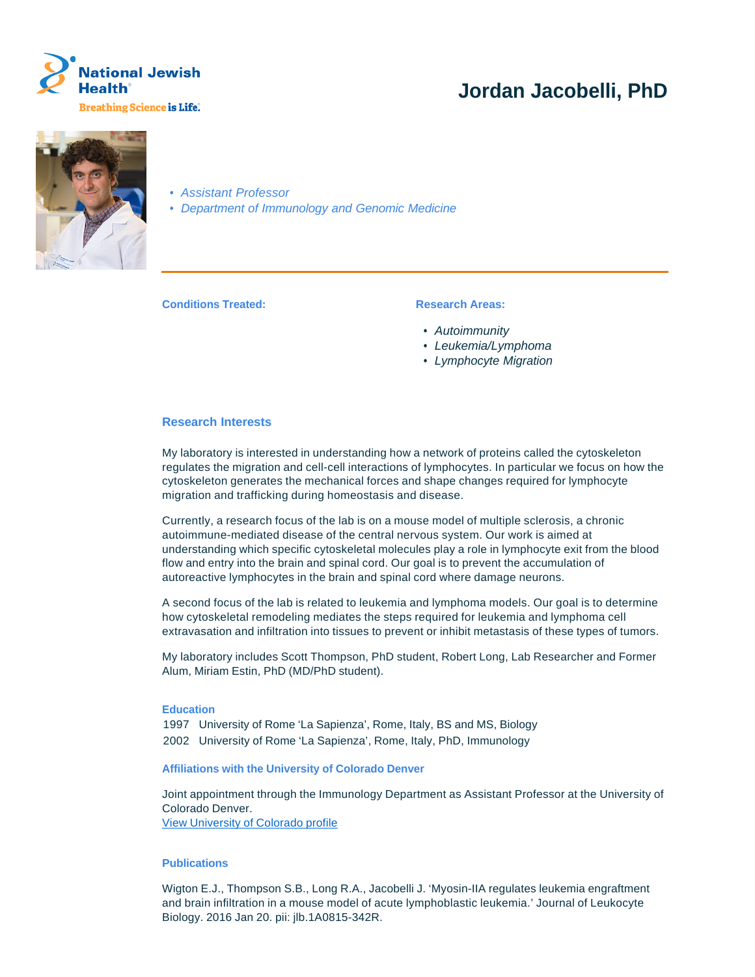

# **Jordan Jacobelli, PhD**



• Assistant Professor

• Department of Immunology and Genomic Medicine

**Conditions Treated: Research Areas:** 

- Autoimmunity
- Leukemia/Lymphoma
- Lymphocyte Migration

### **Research Interests**

My laboratory is interested in understanding how a network of proteins called the cytoskeleton regulates the migration and cell-cell interactions of lymphocytes. In particular we focus on how the cytoskeleton generates the mechanical forces and shape changes required for lymphocyte migration and trafficking during homeostasis and disease.

Currently, a research focus of the lab is on a mouse model of multiple sclerosis, a chronic autoimmune-mediated disease of the central nervous system. Our work is aimed at understanding which specific cytoskeletal molecules play a role in lymphocyte exit from the blood flow and entry into the brain and spinal cord. Our goal is to prevent the accumulation of autoreactive lymphocytes in the brain and spinal cord where damage neurons.

A second focus of the lab is related to leukemia and lymphoma models. Our goal is to determine how cytoskeletal remodeling mediates the steps required for leukemia and lymphoma cell extravasation and infiltration into tissues to prevent or inhibit metastasis of these types of tumors.

My laboratory includes Scott Thompson, PhD student, Robert Long, Lab Researcher and Former Alum, Miriam Estin, PhD (MD/PhD student).

## **Education**

1997 University of Rome 'La Sapienza', Rome, Italy, BS and MS, Biology 2002 University of Rome 'La Sapienza', Rome, Italy, PhD, Immunology

#### **Affiliations with the University of Colorado Denver**

Joint appointment through the Immunology Department as Assistant Professor at the University of Colorado Denver. View University of Colorado profile

#### **Publications**

Wigton E.J., Thompson S.B., Long R.A., Jacobelli J. 'Myosin-IIA regulates leukemia engraftment and brain infiltration in a mouse model of acute lymphoblastic leukemia.' Journal of Leukocyte Biology. 2016 Jan 20. pii: jlb.1A0815-342R.